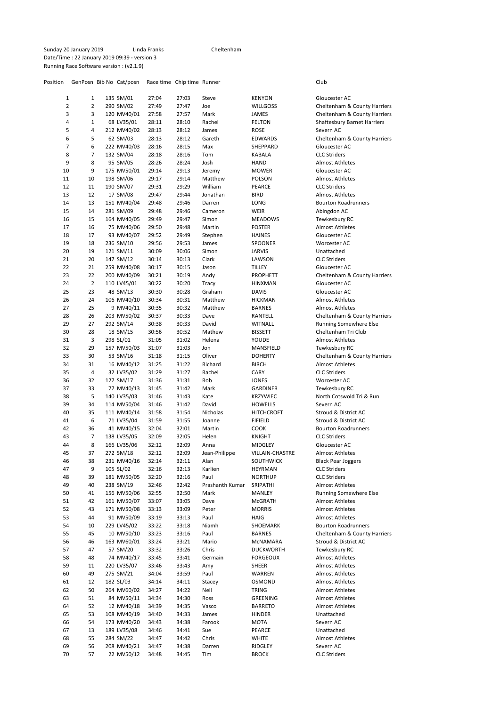Position GenPosn Bib No Cat/posn Race time Chip time Runner Club

| 1        | 1                   | 135 SM/01                 | 27:04          | 27:03          | Steve             | <b>KENYON</b>                  | Gloucester AC                                 |
|----------|---------------------|---------------------------|----------------|----------------|-------------------|--------------------------------|-----------------------------------------------|
| 2<br>3   | $\overline{2}$<br>3 | 290 SM/02                 | 27:49          | 27:47          | Joe               | <b>WILLGOSS</b>                | Cheltenham & County Harriers                  |
|          |                     | 120 MV40/01               | 27:58          | 27:57          | Mark              | JAMES                          | Cheltenham & County Harriers                  |
| 4        | 1                   | 68 LV35/01                | 28:11          | 28:10          | Rachel            | <b>FELTON</b>                  | <b>Shaftesbury Barnet Harriers</b>            |
| 5<br>6   | 4<br>5              | 212 MV40/02               | 28:13          | 28:12<br>28:12 | James             | <b>ROSE</b>                    | Severn AC                                     |
|          | 6                   | 62 SM/03                  | 28:13          | 28:15          | Gareth            | EDWARDS                        | Cheltenham & County Harriers                  |
| 7        |                     | 222 MV40/03               | 28:16          |                | Max               | SHEPPARD                       | Gloucester AC                                 |
| 8<br>9   | 7<br>8              | 132 SM/04                 | 28:18<br>28:26 | 28:16<br>28:24 | Tom<br>Josh       | KABALA<br><b>HAND</b>          | <b>CLC Striders</b><br><b>Almost Athletes</b> |
| 10       | 9                   | 95 SM/05                  |                |                |                   |                                | Gloucester AC                                 |
| 11       | 10                  | 175 MV50/01<br>198 SM/06  | 29:14<br>29:17 | 29:13<br>29:14 | Jeremy<br>Matthew | <b>MOWER</b>                   | <b>Almost Athletes</b>                        |
| 12       | 11                  |                           | 29:31          | 29:29          | William           | <b>POLSON</b><br>PEARCE        | <b>CLC Striders</b>                           |
| 13       | 12                  | 190 SM/07<br>17 SM/08     | 29:47          | 29:44          | Jonathan          | <b>BIRD</b>                    | <b>Almost Athletes</b>                        |
| 14       | 13                  | 151 MV40/04               | 29:48          | 29:46          | Darren            | LONG                           | <b>Bourton Roadrunners</b>                    |
| 15       | 14                  |                           |                |                | Cameron           |                                |                                               |
| 16       | 15                  | 281 SM/09<br>164 MV40/05  | 29:48<br>29:49 | 29:46<br>29:47 | Simon             | WEIR<br><b>MEADOWS</b>         | Abingdon AC<br>Tewkesbury RC                  |
| 17       | 16                  | 75 MV40/06                | 29:50          | 29:48          | Martin            | <b>FOSTER</b>                  | <b>Almost Athletes</b>                        |
| 18       | 17                  | 93 MV40/07                |                | 29:49          |                   | <b>HAINES</b>                  | Gloucester AC                                 |
| 19       | 18                  | 236 SM/10                 | 29:52<br>29:56 | 29:53          | Stephen<br>James  | SPOONER                        | Worcester AC                                  |
| 20       | 19                  | 121 SM/11                 | 30:09          | 30:06          | Simon             | <b>JARVIS</b>                  | Unattached                                    |
| 21       | 20                  | 147 SM/12                 | 30:14          | 30:13          | Clark             | LAWSON                         | <b>CLC Striders</b>                           |
| 22       | 21                  | 259 MV40/08               | 30:17          | 30:15          | Jason             | <b>TILLEY</b>                  | Gloucester AC                                 |
| 23       | 22                  | 200 MV40/09               | 30:21          | 30:19          | Andy              | <b>PROPHETT</b>                | Cheltenham & County Harriers                  |
| 24       | $\overline{2}$      |                           | 30:22          | 30:20          |                   |                                | Gloucester AC                                 |
| 25       | 23                  | 110 LV45/01               |                |                | Tracy<br>Graham   | <b>HINXMAN</b>                 | Gloucester AC                                 |
| 26       | 24                  | 48 SM/13                  | 30:30<br>30:34 | 30:28<br>30:31 | Matthew           | <b>DAVIS</b><br><b>HICKMAN</b> | <b>Almost Athletes</b>                        |
| 27       | 25                  | 106 MV40/10<br>9 MV40/11  | 30:35          | 30:32          | Matthew           | <b>BARNES</b>                  | <b>Almost Athletes</b>                        |
| 28       | 26                  | 203 MV50/02               | 30:37          | 30:33          | Dave              | RANTELL                        | Cheltenham & County Harriers                  |
| 29       | 27                  |                           | 30:38          | 30:33          | David             |                                | <b>Running Somewhere Else</b>                 |
| 30       | 28                  | 292 SM/14<br>18 SM/15     |                |                | Mathew            | <b>WITNALL</b>                 | Cheltenham Tri Club                           |
| 31       | 3                   |                           | 30:56<br>31:05 | 30:52<br>31:02 | Helena            | <b>BISSETT</b>                 | <b>Almost Athletes</b>                        |
| 32       | 29                  | 298 SL/01<br>157 MV50/03  | 31:07          | 31:03          | Jon               | YOUDE                          | Tewkesbury RC                                 |
| 33       | 30                  | 53 SM/16                  | 31:18          | 31:15          | Oliver            | MANSFIELD<br><b>DOHERTY</b>    | Cheltenham & County Harriers                  |
| 34       | 31                  | 16 MV40/12                | 31:25          | 31:22          | Richard           | <b>BIRCH</b>                   | <b>Almost Athletes</b>                        |
| 35       | 4                   | 32 LV35/02                | 31:29          | 31:27          | Rachel            | CARY                           | <b>CLC Striders</b>                           |
| 36       | 32                  |                           | 31:36          | 31:31          | Rob               |                                | Worcester AC                                  |
| 37       | 33                  | 127 SM/17<br>77 MV40/13   | 31:45          | 31:42          | Mark              | JONES<br>GARDINER              | Tewkesbury RC                                 |
| 38       | 5                   | 140 LV35/03               | 31:46          | 31:43          | Kate              | <b>KRZYWIEC</b>                | North Cotswold Tri & Run                      |
| 39       | 34                  | 114 MV50/04               | 31:46          | 31:42          | David             | <b>HOWELLS</b>                 | Severn AC                                     |
| 40       | 35                  | 111 MV40/14               | 31:58          | 31:54          | Nicholas          | <b>HITCHCROFT</b>              | Stroud & District AC                          |
| 41       | 6                   | 71 LV35/04                | 31:59          | 31:55          | Joanne            | <b>FIFIELD</b>                 | Stroud & District AC                          |
| 42       | 36                  | 41 MV40/15                | 32:04          | 32:01          | Martin            | <b>COOK</b>                    | <b>Bourton Roadrunners</b>                    |
| 43       | 7                   | 138 LV35/05               | 32:09          | 32:05          | Helen             | <b>KNIGHT</b>                  | <b>CLC Striders</b>                           |
| 44       | 8                   | 166 LV35/06               | 32:12          | 32:09          | Anna              | MIDGLEY                        | Gloucester AC                                 |
| 45       | 37                  | 272 SM/18                 | 32:12          | 32:09          | Jean-Philippe     | VILLAIN-CHASTRE                | <b>Almost Athletes</b>                        |
| 46       | 38                  | 231 MV40/16               | 32:14          | 32:11          | Alan              | SOUTHWICK                      | <b>Black Pear Joggers</b>                     |
| 47       | 9                   | 105 SL/02                 | 32:16          | 32:13          | Karlien           | HEYRMAN                        | <b>CLC Striders</b>                           |
| 48       | 39                  | 181 MV50/05               | 32:20          | 32:16          | Paul              | <b>NORTHUP</b>                 | <b>CLC Striders</b>                           |
| 49       | 40                  | 238 SM/19                 | 32:46          | 32:42          | Prashanth Kumar   | SRIPATHI                       |                                               |
| 50       |                     |                           |                |                |                   |                                |                                               |
| 51       |                     |                           |                |                |                   |                                | <b>Almost Athletes</b>                        |
|          | 41                  | 156 MV50/06               | 32:55          | 32:50          | Mark              | MANLEY                         | Running Somewhere Else                        |
|          | 42                  | 161 MV50/07               | 33:07          | 33:05          | Dave              | McGRATH                        | <b>Almost Athletes</b>                        |
| 52       | 43                  | 171 MV50/08               | 33:13          | 33:09          | Peter             | <b>MORRIS</b>                  | <b>Almost Athletes</b>                        |
| 53       | 44                  | 91 MV50/09                | 33:19          | 33:13          | Paul              | HAIG                           | <b>Almost Athletes</b>                        |
| 54       | 10                  | 229 LV45/02               | 33:22          | 33:18          | Niamh             | SHOEMARK                       | <b>Bourton Roadrunners</b>                    |
| 55       | 45                  | 10 MV50/10                | 33:23          | 33:16          | Paul              | <b>BARNES</b>                  | Cheltenham & County Harriers                  |
| 56       | 46                  | 163 MV60/01               | 33:24          | 33:21          | Mario             | MCNAMARA                       | Stroud & District AC                          |
| 57       | 47                  | 57 SM/20                  | 33:32          | 33:26          | Chris             | <b>DUCKWORTH</b>               | Tewkesbury RC                                 |
| 58       | 48                  | 74 MV40/17                | 33:45          | 33:41          | Germain           | FORGEOUX                       | <b>Almost Athletes</b>                        |
| 59       | 11                  | 220 LV35/07               | 33:46          | 33:43          | Amy               | SHEER                          | Almost Athletes                               |
| 60       | 49                  | 275 SM/21                 | 34:04          | 33:59          | Paul              | WARREN                         | Almost Athletes                               |
| 61       | 12                  | 182 SL/03                 | 34:14          | 34:11          | Stacey            | OSMOND                         | Almost Athletes                               |
| 62       | 50                  | 264 MV60/02               | 34:27          | 34:22          | Neil              | <b>TRING</b>                   | Almost Athletes                               |
| 63       | 51                  | 84 MV50/11                | 34:34          | 34:30          | Ross              | GREENING                       | Almost Athletes                               |
| 64       | 52                  | 12 MV40/18                | 34:39          | 34:35          | Vasco             | <b>BARRETO</b>                 | Almost Athletes                               |
| 65       | 53                  | 108 MV40/19               | 34:40          | 34:33          | James             | HINDER                         | Unattached                                    |
| 66       | 54                  | 173 MV40/20               | 34:43          | 34:38          | Farook            | MOTA                           | Severn AC                                     |
| 67       | 13                  | 189 LV35/08               | 34:46          | 34:41          | Sue               | PEARCE                         | Unattached                                    |
| 68       | 55                  | 284 SM/22                 | 34:47          | 34:42          | Chris             | <b>WHITE</b>                   | Almost Athletes                               |
| 69<br>70 | 56<br>57            | 208 MV40/21<br>22 MV50/12 | 34:47<br>34:48 | 34:38<br>34:45 | Darren<br>Tim     | RIDGLEY<br><b>BROCK</b>        | Severn AC<br><b>CLC Striders</b>              |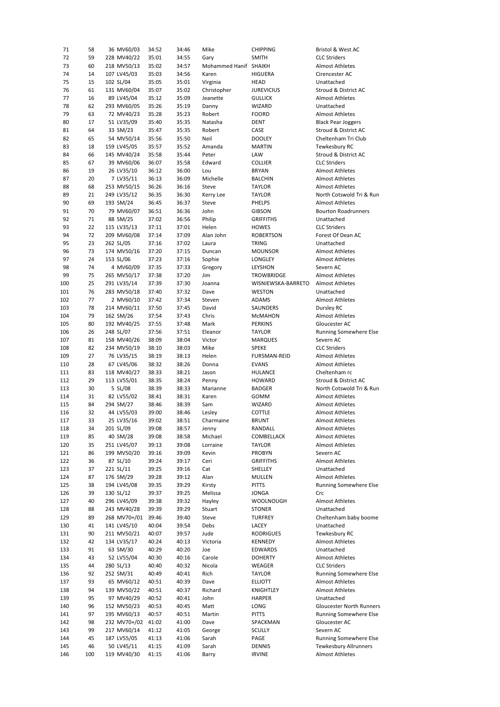| 71  | 58  | 36 MV60/03   | 34:52 | 34:46 | Mike                  | <b>CHIPPING</b>     | Bristol & West AC            |
|-----|-----|--------------|-------|-------|-----------------------|---------------------|------------------------------|
| 72  | 59  | 228 MV40/22  | 35:01 | 34:55 | Gary                  | <b>SMITH</b>        | <b>CLC Striders</b>          |
| 73  | 60  | 218 MV50/13  | 35:02 | 34:57 | Mohammed Hanif SHAIKH |                     | <b>Almost Athletes</b>       |
| 74  | 14  | 107 LV45/03  | 35:03 | 34:56 | Karen                 | <b>HIGUERA</b>      | Cirencester AC               |
| 75  | 15  | 102 SL/04    | 35:05 | 35:01 | Virginia              | <b>HEAD</b>         | Unattached                   |
| 76  | 61  | 131 MV60/04  | 35:07 | 35:02 | Christopher           | <b>JUREVICIUS</b>   | Stroud & District AC         |
|     |     |              |       |       |                       |                     |                              |
| 77  | 16  | 89 LV45/04   | 35:12 | 35:09 | Jeanette              | <b>GULLICK</b>      | <b>Almost Athletes</b>       |
| 78  | 62  | 293 MV60/05  | 35:26 | 35:19 | Danny                 | WIZARD              | Unattached                   |
| 79  | 63  | 72 MV40/23   | 35:28 | 35:23 | Robert                | <b>FOORD</b>        | <b>Almost Athletes</b>       |
| 80  | 17  | 51 LV35/09   | 35:40 | 35:35 | Natasha               | DENT                | <b>Black Pear Joggers</b>    |
| 81  | 64  | 33 SM/23     | 35:47 | 35:35 | Robert                | CASE                | Stroud & District AC         |
| 82  | 65  | 54 MV50/14   | 35:56 | 35:50 | Neil                  | <b>DOOLEY</b>       | Cheltenham Tri Club          |
| 83  | 18  | 159 LV45/05  | 35:57 | 35:52 | Amanda                | <b>MARTIN</b>       | Tewkesbury RC                |
| 84  | 66  | 145 MV40/24  | 35:58 | 35:44 | Peter                 | LAW                 | Stroud & District AC         |
|     | 67  |              |       |       |                       |                     | <b>CLC Striders</b>          |
| 85  |     | 39 MV60/06   | 36:07 | 35:58 | Edward                | <b>COLLIER</b>      |                              |
| 86  | 19  | 26 LV35/10   | 36:12 | 36:00 | Lou                   | <b>BRYAN</b>        | <b>Almost Athletes</b>       |
| 87  | 20  | 7 LV35/11    | 36:13 | 36:09 | Michelle              | <b>BALCHIN</b>      | <b>Almost Athletes</b>       |
| 88  | 68  | 253 MV50/15  | 36:26 | 36:16 | Steve                 | <b>TAYLOR</b>       | <b>Almost Athletes</b>       |
| 89  | 21  | 249 LV35/12  | 36:35 | 36:30 | Kerry Lee             | <b>TAYLOR</b>       | North Cotswold Tri & Run     |
| 90  | 69  | 193 SM/24    | 36:45 | 36:37 | Steve                 | PHELPS              | <b>Almost Athletes</b>       |
| 91  | 70  | 79 MV60/07   | 36:51 | 36:36 | John                  | <b>GIBSON</b>       | <b>Bourton Roadrunners</b>   |
| 92  | 71  | 88 SM/25     | 37:02 | 36:56 | Philip                | <b>GRIFFITHS</b>    | Unattached                   |
| 93  | 22  |              |       |       | Helen                 | <b>HOWES</b>        | <b>CLC Striders</b>          |
|     |     | 115 LV35/13  | 37:11 | 37:01 |                       |                     |                              |
| 94  | 72  | 209 MV60/08  | 37:14 | 37:09 | Alan John             | ROBERTSON           | Forest Of Dean AC            |
| 95  | 23  | 262 SL/05    | 37:16 | 37:02 | Laura                 | TRING               | Unattached                   |
| 96  | 73  | 174 MV50/16  | 37:20 | 37:15 | Duncan                | <b>MOUNSOR</b>      | <b>Almost Athletes</b>       |
| 97  | 24  | 153 SL/06    | 37:23 | 37:16 | Sophie                | LONGLEY             | <b>Almost Athletes</b>       |
| 98  | 74  | 4 MV60/09    | 37:35 | 37:33 | Gregory               | LEYSHON             | Severn AC                    |
| 99  | 75  | 265 MV50/17  | 37:38 | 37:20 | Jim                   | TROWBRIDGE          | <b>Almost Athletes</b>       |
| 100 | 25  | 291 LV35/14  | 37:39 | 37:30 | Joanna                | WISNIEWSKA-BARRETO  | <b>Almost Athletes</b>       |
| 101 | 76  | 283 MV50/18  | 37:40 | 37:32 | Dave                  | <b>WESTON</b>       | Unattached                   |
|     |     |              |       |       |                       |                     |                              |
| 102 | 77  | 2 MV60/10    | 37:42 | 37:34 | Steven                | ADAMS               | Almost Athletes              |
| 103 | 78  | 214 MV60/11  | 37:50 | 37:45 | David                 | SAUNDERS            | Dursley RC                   |
| 104 | 79  | 162 SM/26    | 37:54 | 37:43 | Chris                 | MCMAHON             | <b>Almost Athletes</b>       |
| 105 | 80  | 192 MV40/25  | 37:55 | 37:48 | Mark                  | <b>PERKINS</b>      | Gloucester AC                |
| 106 | 26  | 248 SL/07    | 37:56 | 37:51 | Eleanor               | <b>TAYLOR</b>       | Running Somewhere Else       |
| 107 | 81  | 158 MV40/26  | 38:09 | 38:04 | Victor                | <b>MARQUES</b>      | Severn AC                    |
| 108 | 82  | 234 MV50/19  | 38:10 | 38:03 | Mike                  | <b>SPEKE</b>        | <b>CLC Striders</b>          |
| 109 | 27  | 76 LV35/15   | 38:19 | 38:13 | Helen                 | <b>FURSMAN-REID</b> | <b>Almost Athletes</b>       |
|     | 28  |              |       |       |                       |                     | <b>Almost Athletes</b>       |
| 110 |     | 67 LV45/06   | 38:32 | 38:26 | Donna                 | <b>EVANS</b>        |                              |
| 111 | 83  | 118 MV40/27  | 38:33 | 38:21 | Jason                 | <b>HULANCE</b>      | Cheltenham rc                |
| 112 | 29  | 113 LV55/01  | 38:35 | 38:24 | Penny                 | <b>HOWARD</b>       | Stroud & District AC         |
| 113 | 30  | 5 SL/08      | 38:39 | 38:33 | Marianne              | <b>BADGER</b>       | North Cotswold Tri & Run     |
| 114 | 31  | 82 LV55/02   | 38:41 | 38:31 | Karen                 | GOMM                | <b>Almost Athletes</b>       |
| 115 | 84  | 294 SM/27    | 38:46 | 38:39 | Sam                   | WIZARD              | <b>Almost Athletes</b>       |
| 116 | 32  | 44 LV55/03   | 39:00 | 38:46 | Lesley                | COTTLE              | <b>Almost Athletes</b>       |
| 117 | 33  | 25 LV35/16   | 39:02 | 38:51 | Charmaine             | <b>BRUNT</b>        | <b>Almost Athletes</b>       |
|     |     |              |       |       |                       |                     |                              |
| 118 | 34  | 201 SL/09    | 39:08 | 38:57 | Jenny                 | RANDALL             | Almost Athletes              |
| 119 | 85  | 40 SM/28     | 39:08 | 38:58 | Michael               | COMBELLACK          | Almost Athletes              |
| 120 | 35  | 251 LV45/07  | 39:13 | 39:08 | Lorraine              | TAYLOR              | Almost Athletes              |
| 121 | 86  | 199 MV50/20  | 39:16 | 39:09 | Kevin                 | <b>PROBYN</b>       | Severn AC                    |
| 122 | 36  | 87 SL/10     | 39:24 | 39:17 | Ceri                  | <b>GRIFFITHS</b>    | Almost Athletes              |
| 123 | 37  | 221 SL/11    | 39:25 | 39:16 | Cat                   | SHELLEY             | Unattached                   |
| 124 | 87  | 176 SM/29    | 39:28 | 39:12 | Alan                  | MULLEN              | Almost Athletes              |
| 125 | 38  | 194 LV45/08  | 39:35 | 39:29 | Kirsty                | <b>PITTS</b>        | Running Somewhere Else       |
| 126 | 39  | 130 SL/12    | 39:37 | 39:25 | Melissa               | JONGA               | Crc                          |
|     |     |              |       |       |                       |                     |                              |
| 127 | 40  | 296 LV45/09  | 39:38 | 39:32 | Hayley                | <b>WOOLNOUGH</b>    | Almost Athletes              |
| 128 | 88  | 243 MV40/28  | 39:39 | 39:29 | Stuart                | STONER              | Unattached                   |
| 129 | 89  | 268 MV70+/01 | 39:46 | 39:40 | Steve                 | <b>TURFREY</b>      | Cheltenham baby boome        |
| 130 | 41  | 141 LV45/10  | 40:04 | 39:54 | Debs                  | LACEY               | Unattached                   |
| 131 | 90  | 211 MV50/21  | 40:07 | 39:57 | Jude                  | RODRIGUES           | Tewkesbury RC                |
| 132 | 42  | 134 LV35/17  | 40:24 | 40:13 | Victoria              | KENNEDY             | Almost Athletes              |
| 133 | 91  | 63 SM/30     | 40:29 | 40:20 | Joe                   | EDWARDS             | Unattached                   |
| 134 | 43  | 52 LV55/04   | 40:30 | 40:16 | Carole                | <b>DOHERTY</b>      | Almost Athletes              |
|     |     |              |       |       |                       |                     |                              |
| 135 | 44  | 280 SL/13    | 40:40 | 40:32 | Nicola                | WEAGER              | <b>CLC Striders</b>          |
| 136 | 92  | 252 SM/31    | 40:49 | 40:41 | Rich                  | TAYLOR              | Running Somewhere Else       |
| 137 | 93  | 65 MV60/12   | 40:51 | 40:39 | Dave                  | <b>ELLIOTT</b>      | <b>Almost Athletes</b>       |
| 138 | 94  | 139 MV50/22  | 40:51 | 40:37 | Richard               | KNIGHTLEY           | Almost Athletes              |
| 139 | 95  | 97 MV40/29   | 40:52 | 40:41 | John                  | HARPER              | Unattached                   |
| 140 | 96  | 152 MV50/23  | 40:53 | 40:45 | Matt                  | LONG                | Gloucester North Runners     |
| 141 | 97  | 195 MV60/13  | 40:57 | 40:51 | Martin                | <b>PITTS</b>        | Running Somewhere Else       |
|     |     |              |       |       |                       |                     |                              |
| 142 | 98  | 232 MV70+/02 | 41:02 | 41:00 | Dave                  | SPACKMAN            | Gloucester AC                |
| 143 | 99  | 217 MV60/14  | 41:12 | 41:05 | George                | SCULLY              | Severn AC                    |
| 144 | 45  | 187 LV55/05  | 41:13 | 41:06 | Sarah                 | PAGE                | Running Somewhere Else       |
| 145 | 46  | 50 LV45/11   | 41:15 | 41:09 | Sarah                 | DENNIS              | <b>Tewkesbury Allrunners</b> |
| 146 | 100 | 119 MV40/30  | 41:15 | 41:06 | Barry                 | <b>IRVINE</b>       | Almost Athletes              |
|     |     |              |       |       |                       |                     |                              |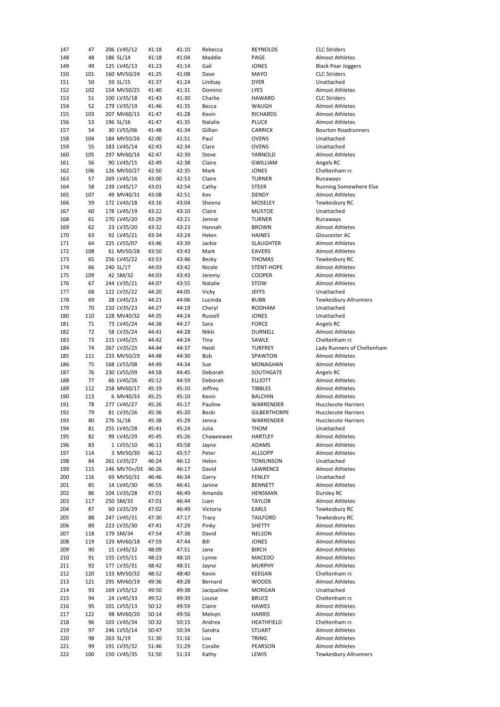| 147        | 47        | 206 LV45/12                | 41:18          | 41:10          | Rebecca          | REYNOLDS            | <b>CLC Striders</b>                             |
|------------|-----------|----------------------------|----------------|----------------|------------------|---------------------|-------------------------------------------------|
| 148        | 48        | 186 SL/14                  | 41:18          | 41:04          | Maddie           | PAGE                | <b>Almost Athletes</b>                          |
| 149        | 49        | 125 LV45/13                | 41:23          | 41:14          | Gail             | <b>JONES</b>        | <b>Black Pear Joggers</b>                       |
| 150        | 101       | 160 MV50/24                | 41:25          | 41:08          | Dave             | <b>MAYO</b>         | <b>CLC Striders</b>                             |
| 151        | 50        | 59 SL/15                   | 41:37          | 41:24          | Lindsay          | <b>DYER</b>         | Unattached                                      |
| 152        | 102       | 154 MV50/25                | 41:40          | 41:31          | Dominic          | LYES                | <b>Almost Athletes</b>                          |
| 153        | 51        | 100 LV35/18                | 41:43          | 41:30          | Charlie          | HAWARD              | <b>CLC Striders</b>                             |
| 154        | 52        | 279 LV35/19                | 41:46          | 41:35          | Becca            | WAUGH               | <b>Almost Athletes</b>                          |
| 155        | 103       | 207 MV60/15                | 41:47          | 41:28          | Kevin            | <b>RICHARDS</b>     | <b>Almost Athletes</b>                          |
| 156        | 53        | 196 SL/16                  | 41:47          | 41:35          | Natalie          | <b>PLUCK</b>        | <b>Almost Athletes</b>                          |
| 157        | 54        | 30 LV55/06                 | 41:48          | 41:34          | Gillian          | CARRICK             | <b>Bourton Roadrunners</b>                      |
| 158        | 104       | 184 MV50/26                | 42:00          | 41:51          | Paul             | <b>OVENS</b>        | Unattached                                      |
| 159        | 55        | 183 LV45/14                | 42:43          | 42:34          | Clare            | <b>OVENS</b>        | Unattached                                      |
| 160        | 105       | 297 MV60/16                | 42:47          | 42:39          | Steve            | YARNOLD             | <b>Almost Athletes</b>                          |
| 161        | 56        | 90 LV45/15                 | 42:49          | 42:38          | Claire           | <b>GWILLIAM</b>     | Angels RC                                       |
| 162        | 106       | 126 MV50/27                | 42:50          | 42:35          | Mark             | <b>JONES</b>        | Cheltenham rc                                   |
| 163        | 57        | 269 LV45/16                | 43:00          | 42:53          | Claire           | <b>TURNER</b>       | Runaways                                        |
| 164        | 58        | 239 LV45/17                | 43:01          | 42:54          | Cathy            | <b>STEER</b>        | Running Somewhere Else                          |
| 165        | 107       | 49 MV40/31                 | 43:08          | 42:51          | Kev              | <b>DENDY</b>        | <b>Almost Athletes</b>                          |
| 166        | 59        | 172 LV45/18                | 43:16          | 43:04          | Sheena           | MOSELEY             | Tewkesbury RC                                   |
|            | 60        | 178 LV45/19                | 43:22          | 43:10          | Claire           |                     |                                                 |
| 167        |           |                            |                |                |                  | <b>MUSTOE</b>       | Unattached                                      |
| 168        | 61        | 270 LV45/20                | 43:29          | 43:21          | Jennie           | <b>TURNER</b>       | Runaways                                        |
| 169        | 62        | 23 LV35/20                 | 43:32          | 43:23          | Hannah           | <b>BROWN</b>        | Almost Athletes                                 |
| 170        | 63        | 92 LV45/21                 | 43:34          | 43:24          | Helen            | <b>HAINES</b>       | Gloucester AC                                   |
| 171        | 64        | 225 LV55/07                | 43:46          | 43:39          | Jackie           | SLAUGHTER           | <b>Almost Athletes</b>                          |
| 172        | 108       | 61 MV50/28                 | 43:50          | 43:43          | Mark             | <b>EAVERS</b>       | <b>Almost Athletes</b>                          |
| 173        | 65        | 256 LV45/22                | 43:53          | 43:46          | <b>Becky</b>     | <b>THOMAS</b>       | Tewkesbury RC                                   |
| 174        | 66        | 240 SL/17                  | 44:03          | 43:42          | Nicole           | STENT-HOPE          | <b>Almost Athletes</b>                          |
| 175        | 109       | 42 SM/32                   | 44:03          | 43:43          | Jeremy           | <b>COOPER</b>       | <b>Almost Athletes</b>                          |
| 176        | 67        | 244 LV35/21                | 44:07          | 43:55          | Natalie          | <b>STOW</b>         | <b>Almost Athletes</b>                          |
| 177        | 68        | 122 LV35/22                | 44:20          | 44:05          | Vicky            | <b>JEFFS</b>        | Unattached                                      |
| 178        | 69        | 28 LV45/23                 | 44:21          | 44:06          | Lucinda          | <b>BUBB</b>         | <b>Tewkesbury Allrunners</b>                    |
| 179        | 70        | 210 LV35/23                | 44:27          | 44:19          | Cheryl           | <b>RODHAM</b>       | Unattached                                      |
| 180        | 110       | 128 MV40/32                | 44:35          | 44:24          | Russell          | <b>JONES</b>        | Unattached                                      |
| 181        | 71        | 73 LV45/24                 | 44:38          | 44:27          | Sara             | <b>FORCE</b>        | Angels RC                                       |
| 182        | 72        | 58 LV35/24                 | 44:41          | 44:28          | Nikki            | <b>DURNELL</b>      | <b>Almost Athletes</b>                          |
| 183        | 73        | 215 LV45/25                | 44:42          | 44:24          | Tina             | SAWLE               | Cheltenham rc                                   |
| 184        | 74        | 267 LV35/25                | 44:44          | 44:37          | Heidi            | <b>TURFREY</b>      | Lady Runners of Cheltenham                      |
| 185        | 111       | 233 MV50/29                | 44:48          | 44:30          | Bob              | SPAWTON             | <b>Almost Athletes</b>                          |
| 186        | 75        | 168 LV55/08                | 44:49          | 44:34          | Sue              | MONAGHAN            | <b>Almost Athletes</b>                          |
| 187        | 76        | 230 LV55/09                | 44:58          | 44:45          | Deborah          | SOUTHGATE           | Angels RC                                       |
| 188        | 77        | 66 LV45/26                 | 45:12          | 44:59          | Deborah          | <b>ELLIOTT</b>      | <b>Almost Athletes</b>                          |
| 189        | 112       | 258 MV60/17                | 45:19          | 45:10          | Jeffrey          | TIBBLES             | <b>Almost Athletes</b>                          |
| 190        |           | 6 MV40/33                  | 45:25          | 45:10          | Kevin            | <b>BALCHIN</b>      | <b>Almost Athletes</b>                          |
| 191        |           |                            |                |                |                  |                     |                                                 |
| 192        | 113       |                            |                |                |                  |                     |                                                 |
|            | 78        | 277 LV45/27                | 45:26          | 45:17          | Pauline          | WARRENDER           | <b>Hucclecote Harriers</b>                      |
|            | 79        | 81 LV35/26                 | 45:36          | 45:20          | Becki            | <b>GILBERTHORPE</b> | <b>Hucclecote Harriers</b>                      |
| 193        | 80        | 276 SL/18                  | 45:38          | 45:29          | Jenna            | WARRENDER           | <b>Hucclecote Harriers</b>                      |
| 194        | 81        | 255 LV45/28                | 45:41          | 45:24          | Julia            | THOM                | Unattached                                      |
| 195        | 82        | 99 LV45/29                 | 45:45          | 45:26          | Chaweewan        | HARTLEY             | Almost Athletes                                 |
| 196        | 83        | 1 LV55/10                  | 46:11          | 45:58          | Jayne            | ADAMS               | Almost Athletes                                 |
| 197        | 114       | 3 MV50/30                  | 46:12          | 45:57          | Peter            | <b>ALLSOPP</b>      | Almost Athletes                                 |
| 198        | 84        | 261 LV35/27                | 46:24          | 46:12          | Helen            | <b>TOMLINSON</b>    | Unattached                                      |
| 199        | 115       | 146 MV70+/03               | 46:26          | 46:17          | David            | LAWRENCE            | Almost Athletes                                 |
| 200        | 116       | 69 MV50/31                 | 46:46          | 46:34          | Garry            | FENLEY              | Unattached                                      |
| 201        | 85        | 14 LV45/30                 | 46:55          | 46:41          | Janine           | BENNETT             | Almost Athletes                                 |
| 202        | 86        | 104 LV35/28                | 47:01          | 46:49          | Amanda           | HENSMAN             | Dursley RC                                      |
| 203        | 117       | 250 SM/33                  | 47:01          | 46:44          | Liam             | <b>TAYLOR</b>       | <b>Almost Athletes</b>                          |
| 204        | 87        | 60 LV35/29                 | 47:02          | 46:49          | Victoria         | EARLS               | Tewkesbury RC                                   |
| 205        | 88        | 247 LV45/31                | 47:30          | 47:17          | Tracy            | TAILFORD            | Tewkesbury RC                                   |
| 206        | 89        | 223 LV35/30                | 47:41          | 47:29          | Pinky            | SHETTY              | <b>Almost Athletes</b>                          |
| 207        | 118       | 179 SM/34                  | 47:54          | 47:38          | David            | NELSON              | Almost Athletes                                 |
| 208        | 119       | 129 MV60/18                | 47:59          | 47:44          | Bill             | JONES               | Almost Athletes                                 |
| 209        | 90        | 15 LV45/32                 | 48:09          | 47:51          | Jane             | <b>BIRCH</b>        | <b>Almost Athletes</b>                          |
| 210        | 91        | 155 LV55/11                | 48:23          | 48:10          | Lynne            | MACEDO              | Almost Athletes                                 |
| 211        | 92        | 177 LV35/31                | 48:42          | 48:31          | Jayne            | <b>MURPHY</b>       | Almost Athletes                                 |
| 212        | 120       | 133 MV50/32                | 48:52          | 48:40          | Kevin            | KEEGAN              | Cheltenham rc                                   |
| 213        | 121       | 295 MV60/19                | 49:36          | 49:28          | Bernard          | WOODS               | Almost Athletes                                 |
| 214        | 93        | 169 LV55/12                | 49:50          | 49:38          | Jacqueline       | MORGAN              | Unattached                                      |
| 215        | 94        | 24 LV45/33                 | 49:52          | 49:39          | Louise           | <b>BRUCE</b>        | Cheltenham rc                                   |
|            | 95        | 101 LV55/13                |                |                | Claire           |                     | Almost Athletes                                 |
| 216        |           |                            | 50:12          | 49:59          |                  | HAWES               |                                                 |
| 217        | 122       | 98 MV60/20                 | 50:14          | 49:56          | Melvyn           | HARRIS              | Almost Athletes                                 |
| 218        | 96        | 103 LV45/34                | 50:32          | 50:15          | Andrea           | HEATHFIELD          | Cheltenham rc                                   |
| 219        | 97        | 246 LV55/14                | 50:47          | 50:34          | Sandra           | <b>STUART</b>       | Almost Athletes                                 |
| 220        | 98        | 263 SL/19                  | 51:30          | 51:16          | Lou              | TRING               | Almost Athletes                                 |
| 221<br>222 | 99<br>100 | 191 LV35/32<br>150 LV45/35 | 51:46<br>51:50 | 51:29<br>51:33 | Coralie<br>Kathy | PEARSON<br>LEWIS    | Almost Athletes<br><b>Tewkesbury Allrunners</b> |